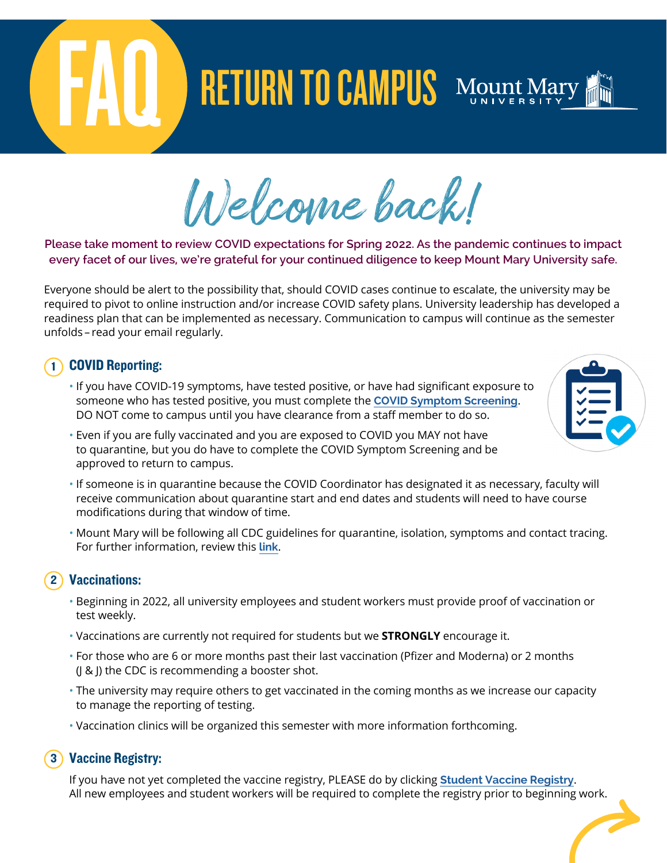# RETURN TO CAMPUS Mount Mary

Welcome back!

### **Please take moment to review COVID expectations for Spring 2022. As the pandemic continues to impact every facet of our lives, we're grateful for your continued diligence to keep Mount Mary University safe.**

Everyone should be alert to the possibility that, should COVID cases continue to escalate, the university may be required to pivot to online instruction and/or increase COVID safety plans. University leadership has developed a readiness plan that can be implemented as necessary. Communication to campus will continue as the semester unfolds – read your email regularly.

## 1 COVID Reporting:

- If you have COVID-19 symptoms, have tested positive, or have had significant exposure to someone who has tested positive, you must complete the **[COVID Symptom Screening](https://forms-public.mtmary.edu/Forms/CovidSymptomScreeningStudent)**. DO NOT come to campus until you have clearance from a staff member to do so.
- Even if you are fully vaccinated and you are exposed to COVID you MAY not have to quarantine, but you do have to complete the COVID Symptom Screening and be approved to return to campus.
- If someone is in quarantine because the COVID Coordinator has designated it as necessary, faculty will receive communication about quarantine start and end dates and students will need to have course
- Mount Mary will be following all CDC guidelines for quarantine, isolation, symptoms and contact tracing. For further information, review this **[link](https://www.cdc.gov/media/releases/2021/s1227-isolation-quarantine-guidance.html)**.

### 2 Vaccinations:

modifications during that window of time.

- Beginning in 2022, all university employees and student workers must provide proof of vaccination or test weekly.
- Vaccinations are currently not required for students but we **STRONGLY** encourage it.
- For those who are 6 or more months past their last vaccination (Pfizer and Moderna) or 2 months (J & J) the CDC is recommending a booster shot.
- The university may require others to get vaccinated in the coming months as we increase our capacity to manage the reporting of testing.
- Vaccination clinics will be organized this semester with more information forthcoming.

### 3 Vaccine Registry:

 If you have not yet completed the vaccine registry, PLEASE do by clicking **[Student Vaccine Registry](https://forms-public.mtmary.edu/Forms/CovidVaccineRegistrationStudent)**. All new employees and student workers will be required to complete the registry prior to beginning work.